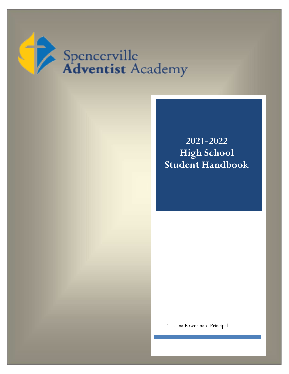

**2021-2022 High School Student Handbook**

Tissiana Bowerman, Principal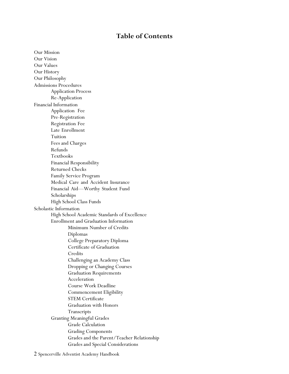## **Table of Contents**

Our Mission Our Vision Our Values Our History Our Philosophy Admissions Procedures Application Process Re-Application Financial Information Application Fee Pre-Registration Registration Fee Late Enrollment Tuition Fees and Charges Refunds Textbooks Financial Responsibility Returned Checks Family Service Program Medical Care and Accident Insurance Financial Aid—Worthy Student Fund Scholarships High School Class Funds Scholastic Information High School Academic Standards of Excellence Enrollment and Graduation Information Minimum Number of Credits Diplomas College Preparatory Diploma Certificate of Graduation **Credits** Challenging an Academy Class Dropping or Changing Courses Graduation Requirements Acceleration Course Work Deadline Commencement Eligibility STEM Certificate Graduation with Honors Transcripts Granting Meaningful Grades Grade Calculation Grading Components Grades and the Parent/Teacher Relationship Grades and Special Considerations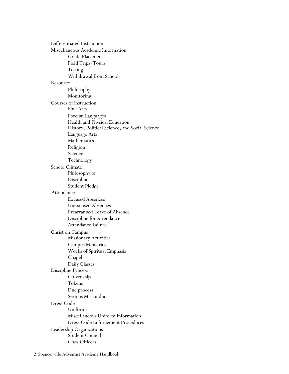Differentiated Instruction Miscellaneous Academic Information Grade Placement Field Trips/Tours Testing Withdrawal from School Resource Philosophy Monitoring Courses of Instruction Fine Arts Foreign Languages Health and Physical Education History, Political Science, and Social Science Language Arts Mathematics Religion Science Technology School Climate Philosophy of Discipline Student Pledge Attendance Excused Absences Unexcused Absences Prearranged Leave of Absence Discipline for Attendance Attendance Failure Christ on Campus Missionary Activities Campus Ministries Weeks of Spiritual Emphasis Chapel Daily Classes Discipline Process Citizenship Tokens Due process Serious Misconduct Dress Code Uniforms Miscellaneous Uniform Information Dress Code Enforcement Procedures Leadership Organizations Student Council Class Officers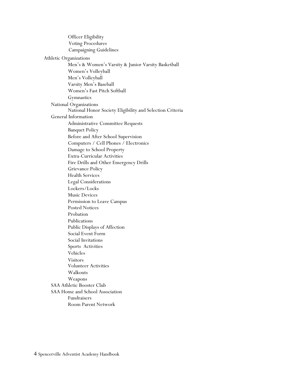|                                 | <b>Officer Eligibility</b>                                |  |
|---------------------------------|-----------------------------------------------------------|--|
|                                 | <b>Voting Procedures</b>                                  |  |
|                                 | <b>Campaigning Guidelines</b>                             |  |
|                                 | Athletic Organizations                                    |  |
|                                 | Men's & Women's Varsity & Junior Varsity Basketball       |  |
|                                 | Women's Volleyball                                        |  |
|                                 | Men's Volleyball                                          |  |
|                                 | Varsity Men's Baseball                                    |  |
|                                 | Women's Fast Pitch Softball                               |  |
|                                 | Gymnastics                                                |  |
|                                 | National Organizations                                    |  |
|                                 | National Honor Society Eligibility and Selection Criteria |  |
|                                 | General Information                                       |  |
|                                 | Administrative Committee Requests                         |  |
|                                 | <b>Banquet Policy</b>                                     |  |
|                                 | Before and After School Supervision                       |  |
|                                 | Computers / Cell Phones / Electronics                     |  |
|                                 | Damage to School Property                                 |  |
|                                 | <b>Extra-Curricular Activities</b>                        |  |
|                                 | Fire Drills and Other Emergency Drills                    |  |
|                                 | Grievance Policy                                          |  |
|                                 | <b>Health Services</b>                                    |  |
|                                 | <b>Legal Considerations</b>                               |  |
|                                 | Lockers/Locks                                             |  |
|                                 | <b>Music Devices</b>                                      |  |
|                                 | Permission to Leave Campus                                |  |
|                                 | <b>Posted Notices</b>                                     |  |
|                                 | Probation                                                 |  |
|                                 | Publications                                              |  |
|                                 | Public Displays of Affection                              |  |
|                                 | Social Event Form                                         |  |
|                                 | Social Invitations                                        |  |
|                                 | Sports Activities                                         |  |
|                                 | Vehicles                                                  |  |
|                                 | <b>Visitors</b>                                           |  |
|                                 | <b>Volunteer Activities</b>                               |  |
|                                 | Walkouts                                                  |  |
|                                 | Weapons                                                   |  |
|                                 | <b>SAA Athletic Booster Club</b>                          |  |
| SAA Home and School Association |                                                           |  |
|                                 | Fundraisers                                               |  |
|                                 | <b>Room Parent Network</b>                                |  |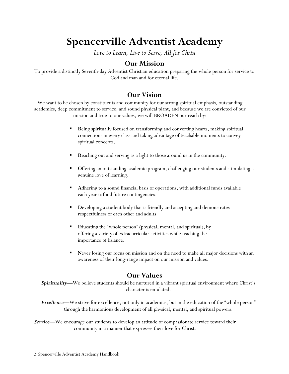# **Spencerville Adventist Academy**

*Love to Learn, Live to Serve, All for Christ*

## **Our Mission**

To provide a distinctly Seventh-day Adventist Christian education preparing the whole person for service to God and man and for eternal life.

## **Our Vision**

We want to be chosen by constituents and community for our strong spiritual emphasis, outstanding academics, deep commitment to service, and sound physical plant, and because we are convicted of our mission and true to our values, we will BROADEN our reach by:

- **B**eing spiritually focused on transforming and converting hearts, making spiritual connections in every class and taking advantage of teachable moments to convey spiritual concepts.
- **R**eaching out and serving as a light to those around us in the community.
- **O**ffering an outstanding academic program, challenging our students and stimulating a genuine love of learning.
- **A**dhering to a sound financial basis of operations, with additional funds available each year tofund future contingencies.
- **D**eveloping a student body that is friendly and accepting and demonstrates respectfulness of each other and adults.
- **E**ducating the "whole person" (physical, mental, and spiritual), by offering a variety of extracurricular activities while teaching the importance of balance.
- **N**ever losing our focus on mission and on the need to make all major decisions with an awareness of their long-range impact on our mission and values.

## **Our Values**

*Spirituality—*We believe students should be nurtured in a vibrant spiritual environment where Christ's character is emulated.

*Excellence—*We strive for excellence, not only in academics, but in the education of the "whole person" through the harmonious development of all physical, mental, and spiritual powers.

*Service—*We encourage our students to develop an attitude of compassionate service toward their community in a manner that expresses their love for Christ.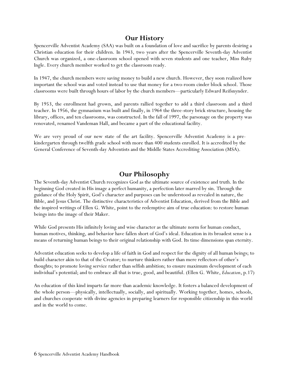# **Our History**

Spencerville Adventist Academy (SAA) was built on a foundation of love and sacrifice by parents desiring a Christian education for their children. In 1943, two years after the Spencerville Seventh-day Adventist Church was organized, a one-classroom school opened with seven students and one teacher, Miss Ruby Ingle. Every church member worked to get the classroom ready.

In 1947, the church members were saving money to build a new church. However, they soon realized how important the school was and voted instead to use that money for a two-room cinder block school. Those classrooms were built through hours of labor by the church members—particularly Edward Reifsnynder.

By 1953, the enrollment had grown, and parents rallied together to add a third classroom and a third teacher. In 1956, the gymnasium was built and finally, in 1964 the three-story brick structure, housing the library, offices, and ten classrooms, was constructed. In the fall of 1997, the parsonage on the property was renovated, renamed Vandeman Hall, and became a part of the educational facility.

We are very proud of our new state of the art facility. Spencerville Adventist Academy is a prekindergarten through twelfth grade school with more than 400 students enrolled. It is accredited by the General Conference of Seventh-day Adventists and the Middle States Accrediting Association (MSA).

## **Our Philosophy**

The Seventh-day Adventist Church recognizes God as the ultimate source of existence and truth. In the beginning God created in His image a perfect humanity, a perfection later marred by sin. Through the guidance of the Holy Spirit, God's character and purposes can be understood as revealed in nature, the Bible, and Jesus Christ. The distinctive characteristics of Adventist Education, derived from the Bible and the inspired writings of Ellen G. White, point to the redemptive aim of true education: to restore human beings into the image of their Maker.

While God presents His infinitely loving and wise character as the ultimate norm for human conduct, human motives, thinking, and behavior have fallen short of God's ideal. Education in its broadest sense is a means of returning human beings to their original relationship with God. Its time dimensions span eternity.

Adventist education seeks to develop a life of faith in God and respect for the dignity of all human beings; to build character akin to that of the Creator; to nurture thinkers rather than mere reflectors of other's thoughts; to promote loving service rather than selfish ambition; to ensure maximum development of each individual's potential; and to embrace all that is true, good, and beautiful. (Ellen G. White, *Education*, p.17)

An education of this kind imparts far more than academic knowledge. It fosters a balanced development of the whole person—physically, intellectually, socially, and spiritually. Working together, homes, schools, and churches cooperate with divine agencies in preparing learners for responsible citizenship in this world and in the world to come.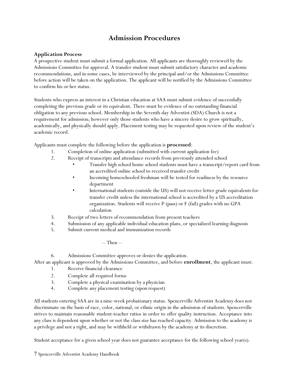## **Admission Procedures**

#### **Application Process**

A prospective student must submit a formal application. All applicants are thoroughly reviewed by the Admissions Committee for approval. A transfer student must submit satisfactory character and academic recommendations, and in some cases, be interviewed by the principal and/or the Admissions Committee before action will be taken on the application. The applicant will be notified by the Admissions Committee to confirm his or her status.

Students who express an interest in a Christian education at SAA must submit evidence of successfully completing the previous grade or its equivalent. There must be evidence of no outstanding financial obligation to any previous school. Membership in the Seventh-day Adventist (SDA) Church is not a requirement for admission; however only those students who have a sincere desire to grow spiritually, academically, and physically should apply. Placement testing may be requested upon review of the student's academic record.

Applicants must complete the following before the application is **processed**:

- 1. Completion of online application (submitted with current application fee)
- 2. Receipt of transcripts and attendance records from previously attended school
	- Transfer high school home school students must have a transcript/report card from an accredited online school to received transfer credit
	- Incoming homeschooled freshman will be tested for readiness by the resource department
	- International students (outside the US) will not receive letter grade equivalents for transfer credit unless the international school is accredited by a US accreditation organization. Students will receive P (pass) or F (fail) grades with no GPA calculation
- 3. Receipt of two letters of recommendation from present teachers
- 4. Submission of any applicable individual education plans, or specialized learning diagnosis
- 5. Submit current medical and immunization records
	- -- Then --

6. Admissions Committee approves or denies the application.

After an applicant is approved by the Admissions Committee, and before **enrollment**, the applicant must:

- 1. Receive financial clearance
- 2. Complete all required forms
- 3. Complete a physical examination by a physician
- 4. Complete any placement testing (upon request)

All students entering SAA are in a nine-week probationary status. Spencerville Adventist Academy does not discriminate on the basis of race, color, national, or ethnic origin in the admission of students. Spencerville strives to maintain reasonable student-teacher ratios in order to offer quality instruction. Acceptance into any class is dependent upon whether or not the class size has reached capacity. Admission to the academy is a privilege and not a right, and may be withheld or withdrawn by the academy at its discretion.

Student acceptance for a given school year does not guarantee acceptance for the following school year(s).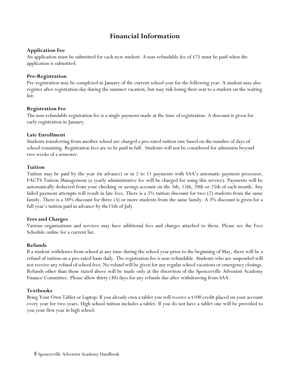# **Financial Information**

#### **Application Fee**

An application must be submitted for each new student. A non-refundable fee of \$75 must be paid when the application is submitted.

#### **Pre-Registration**

Pre-registration may be completed in January of the current school year for the following year. A student may also register after registration day during the summer vacation, but may risk losing their seat to a student on the waiting list.

#### **Registration Fee**

The non-refundable registration fee is a single payment made at the time of registration. A discount is given for early registration in January.

#### **Late Enrollment**

Students transferring from another school are charged a pro-rated tuition rate based on the number of days of school remaining. Registration fees are to be paid in full. Students will not be considered for admission beyond two weeks of a semester.

#### **Tuition**

Tuition may be paid by the year (in advance) or in 2 to 11 payments with SAA's automatic payment processor, FACTS Tuition Management (a yearly administrative fee will be charged for using this service). Payments will be automatically deducted from your checking or savings account on the 5th, 15th, 20th or 25th of each month. Any failed payment attempts will result in late fees. There is a 5% tuition discount for two (2) students from the same family. There is a 10% discount for three (3) or more students from the same family. A 3% discount is given for a full year's tuition paid in advance by the15th of July.

#### **Fees and Charges**

Various organizations and services may have additional fees and charges attached to them. Please see the Fees Schedule online for a current list.

#### **Refunds**

If a student withdraws from school at any time during the school year prior to the beginning of May, there will be a refund of tuition on a pro-rated basis daily. The registration fee is non-refundable. Students who are suspended will not receive any refund of school fees. No refund will be given for any regular school vacations or emergency closings. Refunds other than those stated above will be made only at the discretion of the Spencerville Adventist Academy Finance Committee. Please allow thirty (30) days for any refunds due after withdrawing from SAA.

#### **Textbooks**

Bring Your Own Tablet or Laptop: If you already own a tablet you will receive a \$100 credit placed on your account every year for two years. High school tuition includes a tablet. If you do not have a tablet one will be provided to you your first year in high school.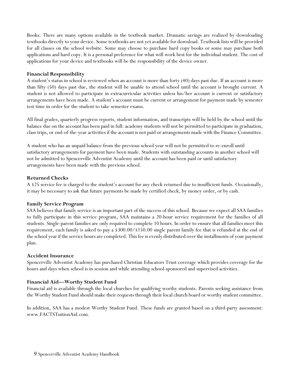Books: There are many options available in the textbook market. Dramatic savings are realized by downloading textbooks directly to your device. Some textbooks are not yet available for download. Textbook lists will be provided for all classes on the school website. Some may choose to purchase hard copy books or some may purchase both applications and hard copy. It is a personal preference for what will work best for the individual student. The cost of applications for your device and textbooks will be the responsibility of the device owner.

## **Financial Responsibility**

A student's status in school is reviewed when an account is more than forty (40) days past due. If an account is more than fifty (50) days past due, the student will be unable to attend school until the account is brought current. A student is not allowed to participate in extracurricular activities unless his/her account is current or satisfactory arrangements have been made. A student's account must be current or arrangement for payment made by semester test time in order for the student to take semester exams.

All final grades, quarterly progress reports, student information, and transcripts will be held by the school until the balance due on the account has been paid in full: academy students will not be permitted to participate in graduation, class trips, or end-of-the-year activities if the account is not paid or arrangements made with the Finance Committee.

A student who has an unpaid balance from the previous school year will not be permitted to re-enroll until satisfactory arrangements for payment have been made. Students with outstanding accounts in another school will not be admitted to Spencerville Adventist Academy until the account has been paid or until satisfactory arrangements have been made with the previous school.

#### **Returned Checks**

A \$25 service fee is charged to the student's account for any check returned due to insufficient funds. Occasionally, it may be necessary to ask that future payments be made by certified check, by money order, or by cash.

## **Family Service Program**

SAA believes that family service is an important part of the success of this school. Because we expect all SAA families to fully participate in this service program, SAA maintains a 20-hour service requirement for the families of all students. Single-parent families are only required to complete 10 hours. In order to ensure that all families meet this requirement, each family is asked to pay a \$300.00/\$150.00 single parent family fee that is refunded at the end of the school year if the service hours are completed. This fee is evenly distributed over the installments of your payment plan.

#### **Accident Insurance**

Spencerville Adventist Academy has purchased Christian Educators Trust coverage which provides coverage for the hours and days when school is in session and while attending school-sponsored and supervised activities.

## **Financial Aid—Worthy Student Fund**

Financial aid is available through the local churches for qualifying worthy students. Parents seeking assistance from the Worthy Student Fund should make their requests through their local church board or worthy student committee.

In addition, SAA has a modest Worthy Student Fund. These funds are granted based on a third-party assessment: www.FACTSTuitionAid.com.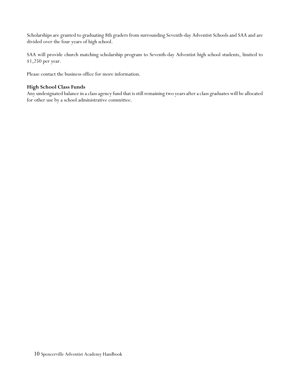Scholarships are granted to graduating 8th graders from surrounding Seventh-day Adventist Schools and SAA and are divided over the four years of high school.

SAA will provide church matching scholarship program to Seventh-day Adventist high school students, limited to \$1,250 per year.

Please contact the business office for more information.

## **High School Class Funds**

Any undesignated balance in a class agency fund that is still remaining two years after a class graduates will be allocated for other use by a school administrative committee.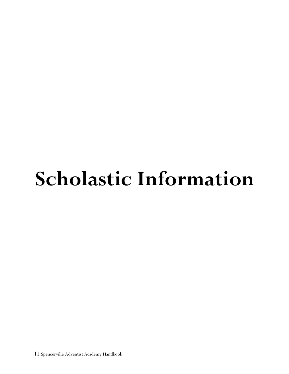# **Scholastic Information**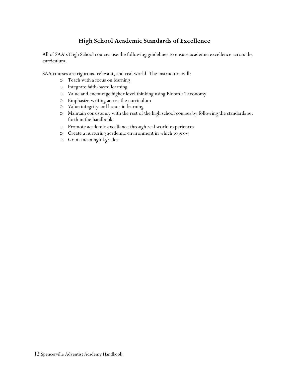## **High School Academic Standards of Excellence**

All of SAA's High School courses use the following guidelines to ensure academic excellence across the curriculum.

SAA courses are rigorous, relevant, and real world. The instructors will:

- o Teach with a focus on learning
- o Integrate faith-based learning
- o Value and encourage higher level thinking using Bloom'sTaxonomy
- o Emphasize writing across the curriculum
- o Value integrity and honor in learning
- o Maintain consistency with the rest of the high school courses by following the standards set forth in the handbook
- o Promote academic excellence through real world experiences
- o Create a nurturing academic environment in which to grow
- o Grant meaningful grades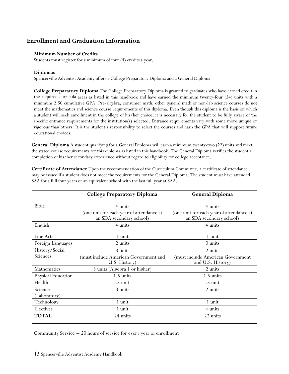## **Enrollment and Graduation Information**

#### **Minimum Number of Credits**

Students must register for a minimum of four (4) credits a year.

#### **Diplomas**

Spencerville Adventist Academy offers a College Preparatory Diploma and a General Diploma.

**College Preparatory Diploma** The College Preparatory Diploma is granted to graduates who have earned credit in the required curricula areas as listed in this handbook and have earned the minimum twenty-four (24) units with a minimum 2.50 cumulative GPA. Pre-algebra, consumer math, other general math or non-lab science courses do not meet the mathematics and science course requirements of this diploma. Even though this diploma is the basis on which a student will seek enrollment in the college of his/her choice, it is necessary for the student to be fully aware of the specific entrance requirements for the institution(s) selected. Entrance requirements vary with some more unique or rigorous than others. It is the student's responsibility to select the courses and earn the GPA that will support future educational choices.

**General Diploma** A student qualifying for a General Diploma will earn a minimum twenty-two (22) units and meet the stated course requirements for this diploma as listed in this handbook. The General Diploma verifies the student's completion of his/her secondary experience without regard to eligibility for college acceptance.

**Certificate of Attendance** Upon the recommendation of the Curriculum Committee, a certificate of attendance may be issued if a student does not meet the requirements for the General Diploma. The student must have attended SAA for a full four years or an equivalent school with the last full year at SAA.

|                              | <b>College Preparatory Diploma</b>                                   | <b>General Diploma</b>                                               |  |
|------------------------------|----------------------------------------------------------------------|----------------------------------------------------------------------|--|
| Bible                        | 4 units                                                              | 4 units                                                              |  |
|                              | (one unit for each year of attendance at<br>an SDA secondary school) | (one unit for each year of attendance at<br>an SDA secondary school) |  |
| English                      | 4 units                                                              | 4 units                                                              |  |
| Fine Arts                    | 1 unit                                                               | 1 unit                                                               |  |
| Foreign Languages<br>2 units |                                                                      | 0 units                                                              |  |
| History/Social               | 3 units                                                              | 2 units                                                              |  |
| Sciences                     | (must include American Government and<br>U.S. History)               | (must include American Government<br>and U.S. History)               |  |
| Mathematics                  | 3 units (Algebra 1 or higher)                                        | 2 units                                                              |  |
| Physical Education           | 1.5 units                                                            | $1.5 \text{ units}$                                                  |  |
| Health                       | .5 unit<br>.5 unit                                                   |                                                                      |  |
| Science                      | 3 units                                                              | 2 units                                                              |  |
| (Laboratory)                 |                                                                      |                                                                      |  |
| Technology                   | 1 unit                                                               | 1 unit                                                               |  |
| Electives                    | 1 unit                                                               | 4 units                                                              |  |
| <b>TOTAL</b>                 | 24 units                                                             | 22 units                                                             |  |

Community Service  $= 20$  hours of service for every year of enrollment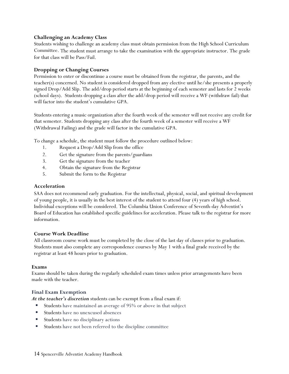#### **Challenging an Academy Class**

Students wishing to challenge an academy class must obtain permission from the High School Curriculum Committee. The student must arrange to take the examination with the appropriate instructor. The grade for that class will be Pass/Fail.

#### **Dropping or Changing Courses**

Permission to enter or discontinue a course must be obtained from the registrar, the parents, and the teacher(s) concerned. No student is considered dropped from any elective until he/she presents a properly signed Drop/Add Slip. The add/drop period starts at the beginning of each semester and lasts for 2 weeks (school days). Students dropping a class after the add/drop period will receive a WF (withdraw fail) that will factor into the student's cumulative GPA.

Students entering a music organization after the fourth week of the semester will not receive any credit for that semester. Students dropping any class after the fourth week of a semester will receive a WF (Withdrawal Failing) and the grade will factor in the cumulative GPA.

To change a schedule, the student must follow the procedure outlined below:

- 1. Request a Drop/Add Slip from the office
- 2. Get the signature from the parents/guardians
- 3. Get the signature from the teacher
- 4. Obtain the signature from the Registrar
- 5. Submit the form to the Registrar

#### **Acceleration**

SAA does not recommend early graduation. For the intellectual, physical, social, and spiritual development of young people, it is usually in the best interest of the student to attend four (4) years of high school. Individual exceptions will be considered. The Columbia Union Conference of Seventh-day Adventist's Board of Education has established specific guidelines for acceleration. Please talk to the registrar for more information.

#### **Course Work Deadline**

All classroom course work must be completed by the close of the last day of classes prior to graduation. Students must also complete any correspondence courses by May 1 with a final grade received by the registrar at least 48 hours prior to graduation.

#### **Exams**

Exams should be taken during the regularly scheduled exam times unless prior arrangements have been made with the teacher.

#### **Final Exam Exemption**

*At the teacher's discretion* students can be exempt from a final exam if:

- Students have maintained an average of 95% or above in that subject
- Students have no unexcused absences
- **Students** have no disciplinary actions
- Students have not been referred to the discipline committee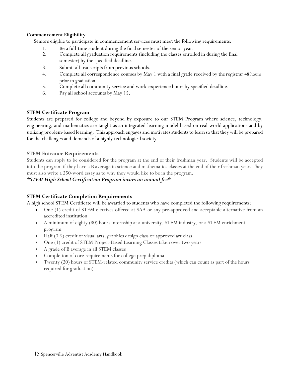#### **Commencement Eligibility**

Seniors eligible to participate in commencement services must meet the following requirements:

- 1. Be a full-time student during the final semester of the senior year.
- 2. Complete all graduation requirements (including the classes enrolled in during the final semester) by the specified deadline.
- 3. Submit all transcripts from previous schools.
- 4. Complete all correspondence courses by May 1 with a final grade received by the registrar 48 hours prior to graduation.
- 5. Complete all community service and work-experience hours by specified deadline.
- 6. Pay all school accounts by May 15.

#### **STEM Certificate Program**

Students are prepared for college and beyond by exposure to our STEM Program where science, technology, engineering, and mathematics are taught as an integrated learning model based on real world applications and by utilizing problem-based learning. This approach engages and motivates students to learn so that they will be prepared for the challenges and demands of a highly technological society.

#### **STEM Entrance Requirements**

Students can apply to be considered for the program at the end of their freshman year. Students will be accepted into the program if they have a B average in science and mathematics classes at the end of their freshman year. They must also write a 250-word essay as to why they would like to be in the program.

#### *\*STEM High School Certification Program incurs an annual fee\**

## **STEM Certificate Completion Requirements**

A high school STEM Certificate will be awarded to students who have completed the following requirements:

- One (1) credit of STEM electives offered at SAA or any pre-approved and acceptable alternative from an accredited institution
- A minimum of eighty (80) hours internship at a university, STEM industry, or a STEM enrichment program
- Half (0.5) credit of visual arts, graphics design class or approved art class
- One (1) credit of STEM Project-Based Learning Classes taken over two years
- A grade of B average in all STEM classes
- Completion of core requirements for college prep diploma
- Twenty (20) hours of STEM-related community service credits (which can count as part of the hours required for graduation)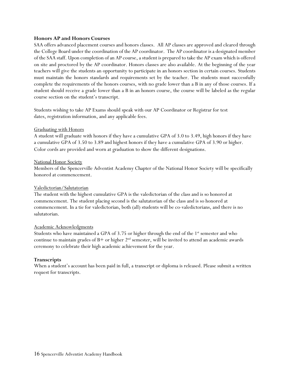#### **Honors AP and Honors Courses**

SAA offers advanced placement courses and honors classes. All AP classes are approved and cleared through the College Board under the coordination of the AP coordinator. The AP coordinator is a designated member of the SAA staff. Upon completion of an AP course, a student is prepared to take the AP exam which is offered on site and proctored by the AP coordinator. Honors classes are also available. At the beginning of the year teachers will give the students an opportunity to participate in an honors section in certain courses. Students must maintain the honors standards and requirements set by the teacher. The students must successfully complete the requirements of the honors courses, with no grade lower than a B in any of those courses. If a student should receive a grade lower than a B in an honors course, the course will be labeled as the regular course section on the student's transcript.

Students wishing to take AP Exams should speak with our AP Coordinator or Registrar for test dates, registration information, and any applicable fees.

#### Graduating with Honors

A student will graduate with honors if they have a cumulative GPA of 3.0 to 3.49, high honors if they have a cumulative GPA of 3.50 to 3.89 and highest honors if they have a cumulative GPA of 3.90 or higher. Color cords are provided and worn at graduation to show the different designations.

#### National Honor Society

Members of the Spencerville Adventist Academy Chapter of the National Honor Society will be specifically honored at commencement.

#### Valedictorian/Salutatorian

The student with the highest cumulative GPA is the valedictorian of the class and is so honored at commencement. The student placing second is the salutatorian of the class and is so honored at commencement. In a tie for valedictorian, both (all) students will be co-valedictorians, and there is no salutatorian.

#### Academic Acknowledgments

Students who have maintained a GPA of 3.75 or higher through the end of the  $1<sup>st</sup>$  semester and who continue to maintain grades of  $B+$  or higher  $2<sup>nd</sup>$  semester, will be invited to attend an academic awards ceremony to celebrate their high academic achievement for the year.

#### **Transcripts**

When a student's account has been paid in full, a transcript or diploma is released. Please submit a written request for transcripts.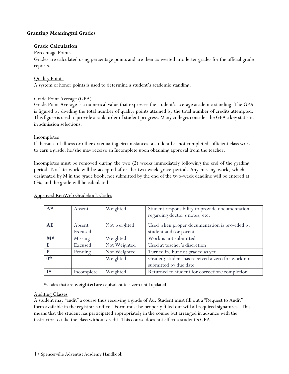## **Granting Meaningful Grades**

#### **Grade Calculation**

#### Percentage Points

Grades are calculated using percentage points and are then converted into letter grades for the official grade reports.

#### Quality Points

A system of honor points is used to determine a student's academic standing.

#### Grade Point Average (GPA)

Grade Point Average is a numerical value that expresses the student's average academic standing. The GPA is figured by dividing the total number of quality points attained by the total number of credits attempted. This figure is used to provide a rank order of student progress. Many colleges consider the GPA a key statistic in admission selections.

#### **Incompletes**

If, because of illness or other extenuating circumstances, a student has not completed sufficient class work to earn a grade, he/she may receive an Incomplete upon obtaining approval from the teacher.

Incompletes must be removed during the two (2) weeks immediately following the end of the grading period. No late work will be accepted after the two-week grace period. Any missing work, which is designated by M in the grade book, not submitted by the end of the two-week deadline will be entered at 0%, and the grade will be calculated.

#### Approved RenWeb Gradebook Codes

| $A^*$          | Absent     | Weighted     | Student responsibility to provide documentation<br>regarding doctor's notes, etc. |
|----------------|------------|--------------|-----------------------------------------------------------------------------------|
| AE             | Absent     | Not weighted | Used when proper documentation is provided by                                     |
|                | Excused    |              | student and/or parent                                                             |
| $M^*$          | Missing    | Weighted     | Work is not submitted                                                             |
| E              | Excused    | Not Weighted | Used at teacher's discretion                                                      |
| P              | Pending    | Not Weighted | Turned in, but not graded as yet                                                  |
| $0*$           |            | Weighted     | Graded; student has received a zero for work not                                  |
|                |            |              | submitted by due date                                                             |
| $\mathbf{I}^*$ | Incomplete | Weighted     | Returned to student for correction/completion                                     |

\*Codes that are **weighted** are equivalent to a zero until updated.

#### Auditing Classes

A student may "audit" a course thus receiving a grade of Au. Student must fill out a "Request to Audit" form available in the registrar's office. Form must be properly filled out will all required signatures. This means that the student has participated appropriately in the course but arranged in advance with the instructor to take the class without credit. This course does not affect a student's GPA.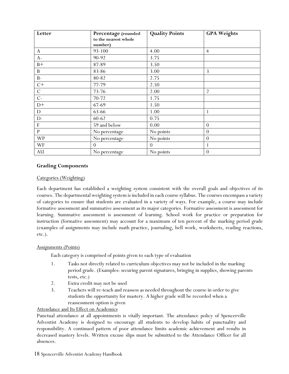| Letter        | Percentage (rounded<br>to the nearest whole<br>number) | <b>Quality Points</b> | <b>GPA Weights</b> |
|---------------|--------------------------------------------------------|-----------------------|--------------------|
| $\mathbf{A}$  | 93-100                                                 | 4.00                  | $\overline{4}$     |
| $A-$          | 90-92                                                  | 3.75                  |                    |
| $B+$          | 87-89                                                  | 3.50                  |                    |
| $\mathbf{B}$  | 83-86                                                  | 3.00                  | 3                  |
| $B-$          | 80-82                                                  | 2.75                  |                    |
| $C+$          | 77-79                                                  | 2.50                  |                    |
| $\mathcal{C}$ | 73-76                                                  | 2.00                  | $\overline{2}$     |
| $C-$          | 70-72                                                  | 1.75                  |                    |
| $D+$          | 67-69                                                  | 1.50                  |                    |
| D             | 63-66                                                  | 1.00                  | 1                  |
| D-            | 60-62                                                  | 0.75                  |                    |
| $\mathbf F$   | 59 and below                                           | 0.00                  | $\theta$           |
| $\, {\bf P}$  | No percentage                                          | No points             | $\overline{0}$     |
| <b>WP</b>     | No percentage                                          | No points             | $\theta$           |
| WF            | $\theta$                                               | $\Omega$              |                    |
| AU            | No percentage                                          | No points             | $\overline{0}$     |

## **Grading Components**

#### Categories (Weighting)

Each department has established a weighting system consistent with the overall goals and objectives of its courses. The departmental weighting system is included in each course syllabus. The courses encompass a variety of categories to ensure that students are evaluated in a variety of ways. For example, a course may include formative assessment and summative assessment as its major categories. Formative assessment is assessment for learning. Summative assessment is assessment of learning. School work for practice or preparation for instruction (formative assessment) may account for a maximum of ten percent of the marking period grade (examples of assignments may include math practice, journaling, bell work, worksheets, reading reactions, etc.).

## Assignments (Points)

Each category is comprised of points given to each type of evaluation

- 1. Tasks not directly related to curriculum objectives may not be included in the marking period grade. (Examples: securing parent signatures, bringing in supplies, showing parents tests, etc.)
- 2. Extra credit may not be used
- 3. Teachers will re-teach and reassess as needed throughout the course in order to give students the opportunity for mastery. A higher grade will be recorded when a reassessment option is given

## Attendance and Its Effect on Academics

Punctual attendance at all appointments is vitally important. The attendance policy of Spencerville Adventist Academy is designed to encourage all students to develop habits of punctuality and responsibility. A continued pattern of poor attendance limits academic achievement and results in decreased mastery levels. Written excuse slips must be submitted to the Attendance Officer for all absences.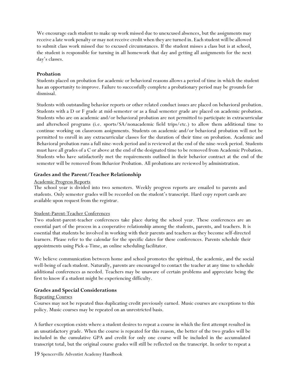We encourage each student to make up work missed due to unexcused absences, but the assignments may receive a late work penalty or may not receive credit when they are turned in. Each student will be allowed to submit class work missed due to excused circumstances. If the student misses a class but is at school, the student is responsible for turning in all homework that day and getting all assignments for the next day's classes.

#### **Probation**

Students placed on probation for academic or behavioral reasons allows a period of time in which the student has an opportunity to improve. Failure to successfully complete a probationary period may be grounds for dismissal.

Students with outstanding behavior reports or other related conduct issues are placed on behavioral probation. Students with a D or F grade at mid-semester or as a final semester grade are placed on academic probation. Students who are on academic and/or behavioral probation are not permitted to participate in extracurricular and afterschool programs (i.e. sports/SA/nonacademic field trips/etc.) to allow them additional time to continue working on classroom assignments. Students on academic and/or behavioral probation will not be permitted to enroll in any extracurricular classes for the duration of their time on probation. Academic and Behavioral probation runs a full nine-week period and is reviewed at the end of the nine-week period. Students must have all grades of a C or above at the end of the designated time to be removed from Academic Probation. Students who have satisfactorily met the requirements outlined in their behavior contract at the end of the semester will be removed from Behavior Probation. All probations are reviewed by administration.

#### **Grades and the Parent/Teacher Relationship**

#### Academic Progress Reports

The school year is divided into two semesters. Weekly progress reports are emailed to parents and students. Only semester grades will be recorded on the student's transcript. Hard copy report cards are available upon request from the registrar.

#### Student-Parent-Teacher Conferences

Two student-parent-teacher conferences take place during the school year. These conferences are an essential part of the process in a cooperative relationship among the students, parents, and teachers. It is essential that students be involved in working with their parents and teachers as they become self-directed learners. Please refer to the calendar for the specific dates for these conferences. Parents schedule their appointments using Pick-a-Time, an online scheduling facilitator.

We believe communication between home and school promotes the spiritual, the academic, and the social well-being of each student. Naturally, parents are encouraged to contact the teacher at any time to schedule additional conferences as needed. Teachers may be unaware of certain problems and appreciate being the first to know if a student might be experiencing difficulty.

#### **Grades and Special Considerations**

#### Repeating Courses

Courses may not be repeated thus duplicating credit previously earned. Music courses are exceptions to this policy. Music courses may be repeated on an unrestricted basis.

A further exception exists where a student desires to repeat a course in which the first attempt resulted in an unsatisfactory grade. When the course is repeated for this reason, the better of the two grades will be included in the cumulative GPA and credit for only one course will be included in the accumulated transcript total, but the original course grades will still be reflected on the transcript. In order to repeat a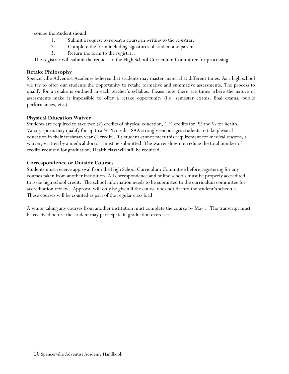course the student should:

- 1. Submit a request to repeat a course in writing to the registrar.
- 2. Complete the form including signatures of student and parent.
- 3. Return the form to the registrar.

The registrar will submit the request to the High School Curriculum Committee for processing.

## **Retake Philosophy**

Spencerville Adventist Academy believes that students may master material at different times. As a high school we try to offer our students the opportunity to retake formative and summative assessments. The process to qualify for a retake is outlined in each teacher's syllabus. Please note there are times where the nature of assessments make it impossible to offer a retake opportunity (i.e. semester exams, final exams, public performances, etc.).

## **Physical Education Waiver**

Students are required to take two (2) credits of physical education, 1  $\frac{1}{2}$  credits for PE and  $\frac{1}{2}$  for health. Varsity sports may qualify for up to a  $\frac{1}{2}$  PE credit. SAA strongly encourages students to take physical education in their freshman year (1 credit). If a student cannot meet this requirement for medical reasons, a waiver, written by a medical doctor, must be submitted. The waiver does not reduce the total number of credits required for graduation. Health class will still be required.

## **Correspondence or Outside Courses**

Students must receive approval from the High School Curriculum Committee before registering for any courses taken from another institution. All correspondence and online schools must be properly accredited to issue high school credit. The school information needs to be submitted to the curriculum committee for accreditation review. Approval will only be given if the course does not fit into the student's schedule. These courses will be counted as part of the regular class load.

A senior taking any courses from another institution must complete the course by May 1. The transcript must be received before the student may participate in graduation exercises.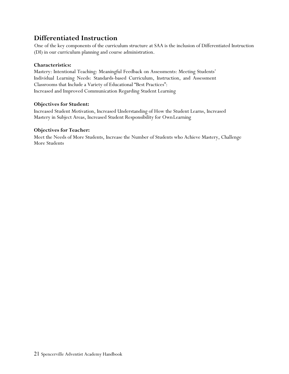# **Differentiated Instruction**

One of the key components of the curriculum structure at SAA is the inclusion of Differentiated Instruction (DI) in our curriculum planning and course administration.

## **Characteristics:**

Mastery: Intentional Teaching: Meaningful Feedback on Assessments: Meeting Students' Individual Learning Needs: Standards-based Curriculum, Instruction, and Assessment Classrooms that Include a Variety of Educational "Best Practices": Increased and Improved Communication Regarding Student Learning

## **Objectives for Student:**

Increased Student Motivation, Increased Understanding of How the Student Learns, Increased Mastery in Subject Areas, Increased Student Responsibility for OwnLearning

## **Objectives for Teacher:**

Meet the Needs of More Students, Increase the Number of Students who Achieve Mastery, Challenge More Students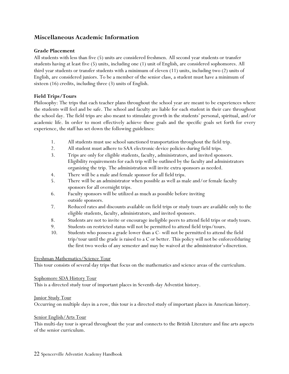## **Miscellaneous Academic Information**

#### **Grade Placement**

All students with less than five (5) units are considered freshmen. All second year students or transfer students having at least five (5) units, including one (1) unit of English, are considered sophomores. All third year students or transfer students with a minimum of eleven (11) units, including two (2) units of English, are considered juniors. To be a member of the senior class, a student must have a minimum of sixteen (16) credits, including three (3) units of English.

#### **Field Trips/Tours**

Philosophy: The trips that each teacher plans throughout the school year are meant to be experiences where the students will feel and be safe. The school and faculty are liable for each student in their care throughout the school day. The field trips are also meant to stimulate growth in the students' personal, spiritual, and/or academic life. In order to most effectively achieve these goals and the specific goals set forth for every experience, the staff has set down the following guidelines:

- 1. All students must use school sanctioned transportation throughout the field trip.
- 2. All student must adhere to SAA electronic device policies during field trips.
- 3. Trips are only for eligible students, faculty, administrators, and invited sponsors. Eligibility requirements for each trip will be outlined by the faculty and administrators organizing the trip. The administration will invite extra sponsors as needed.
- 4. There will be a male and female sponsor for all field trips.
- 5. There will be an administrator when possible as well as male and/or female faculty sponsors for all overnight trips.
- 6. Faculty sponsors will be utilized as much as possible before inviting outside sponsors.
- 7. Reduced rates and discounts available on field trips or study tours are available only to the eligible students, faculty, administrators, and invited sponsors.
- 8. Students are not to invite or encourage ineligible peers to attend field trips or study tours.
- 9. Students on restricted status will not be permitted to attend field trips/tours.
- 10. Students who possess a grade lower than a C- will not be permitted to attend the field trip/tour until the grade is raised to a C or better. This policy will not be enforcedduring the first two weeks of any semester and may be waived at the administrator's discretion.

#### Freshman Mathematics/Science Tour

This tour consists of several day trips that focus on the mathematics and science areas of the curriculum.

#### Sophomore SDA History Tour

This is a directed study tour of important places in Seventh-day Adventist history.

#### Junior Study Tour

Occurring on multiple days in a row, this tour is a directed study of important places in American history.

#### Senior English/Arts Tour

This multi-day tour is spread throughout the year and connects to the British Literature and fine arts aspects of the senior curriculum.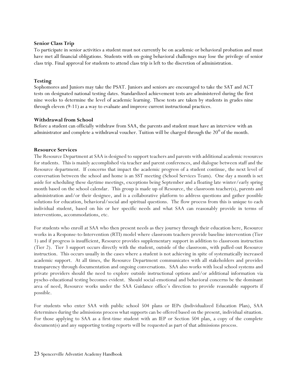#### **Senior Class Trip**

To participate in senior activities a student must not currently be on academic or behavioral probation and must have met all financial obligations. Students with on-going behavioral challenges may lose the privilege of senior class trip. Final approval for students to attend class trip is left to the discretion of administration.

#### **Testing**

Sophomores and Juniors may take the PSAT. Juniors and seniors are encouraged to take the SAT and ACT tests on designated national testing dates. Standardized achievement tests are administered during the first nine weeks to determine the level of academic learning. These tests are taken by students in grades nine through eleven (9-11) as a way to evaluate and improve current instructional practices.

#### **Withdrawal from School**

Before a student can officially withdraw from SAA, the parents and student must have an interview with an administrator and complete a withdrawal voucher. Tuition will be charged through the  $20<sup>th</sup>$  of the month.

#### **Resource Services**

The Resource Department at SAA is designed to support teachers and parents with additional academic resources for students. This is mainly accomplished via teacher and parent conferences, and dialogue between staff and the Resource department. If concerns that impact the academic progress of a student continue, the next level of conversation between the school and home is an SST meeting (School Services Team). One day a month is set aside for scheduling these daytime meetings, exceptions being September and a floating late winter/early spring month based on the school calendar. This group is made up of Resource, the classroom teacher(s), parents and administration and/or their designee, and is a collaborative platform to address questions and gather possible solutions for education, behavioral/social and spiritual questions. The flow process from this is unique to each individual student, based on his or her specific needs and what SAA can reasonably provide in terms of interventions, accommodations, etc.

For students who enroll at SAA who then present needs as they journey through their education here, Resource works in a Response-to-Intervention (RTI) model where classroom teachers provide baseline intervention (Tier 1) and if progress is insufficient, Resource provides supplementary support in addition to classroom instruction (Tier 2). Tier 3 support occurs directly with the student, outside of the classroom, with pulled-out Resource instruction. This occurs usually in the cases where a student is not achieving in spite of systematically increased academic support. At all times, the Resource Department communicates with all stakeholders and provides transparency through documentation and ongoing conversations. SAA also works with local school systems and private providers should the need to explore outside instructional options and/or additional information via pyscho-educational testing becomes evident. Should social-emotional and behavioral concerns be the dominant area of need, Resource works under the SAA Guidance office's direction to provide reasonable supports if possible.

For students who enter SAA with public school 504 plans or IEPs (Individualized Education Plan), SAA determines during the admissions process what supports can be offered based on the present, individual situation. For those applying to SAA as a first-time student with an IEP or Section 504 plan, a copy of the complete document(s) and any supporting testing reports will be requested as part of that admissions process.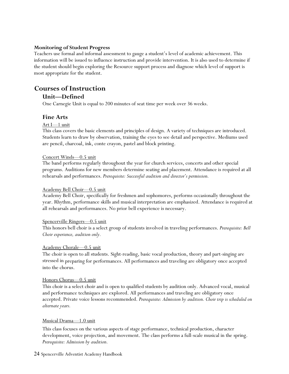#### **Monitoring of Student Progress**

Teachers use formal and informal assessment to gauge a student's level of academic achievement. This information will be issued to influence instruction and provide intervention. It is also used to determine if the student should begin exploring the Resource support process and diagnose which level of support is most appropriate for the student.

# **Courses of Instruction**

## **Unit—Defined**

One Carnegie Unit is equal to 200 minutes of seat time per week over 36 weeks.

## **Fine Arts**

#### Art I—1 unit

This class covers the basic elements and principles of design. A variety of techniques are introduced. Students learn to draw by observation, training the eyes to see detail and perspective. Mediums used are pencil, charcoal, ink, conte crayon, pastel and block printing.

#### Concert Winds—0.5 unit

The band performs regularly throughout the year for church services, concerts and other special programs. Auditions for new members determine seating and placement. Attendance is required at all rehearsals and performances. *Prerequisite: Successful audition and director's permission.*

#### Academy Bell Choir—0.5 unit

Academy Bell Choir, specifically for freshmen and sophomores, performs occasionally throughout the year. Rhythm, performance skills and musical interpretation are emphasized. Attendance is required at all rehearsals and performances. No prior bell experience is necessary.

#### Spencerville Ringers—0.5 unit

This honors bell choir is a select group of students involved in traveling performances. *Prerequisite: Bell Choir experience, audition only.*

#### Academy Chorale—0.5 unit

The choir is open to all students. Sight-reading, basic vocal production, theory and part-singing are stressed in preparing for performances. All performances and traveling are obligatory once accepted into the chorus.

#### Honors Chorus—0.5 unit

This choir is a select choir and is open to qualified students by audition only. Advanced vocal, musical and performance techniques are explored. All performances and traveling are obligatory once accepted. Private voice lessons recommended. *Prerequisite: Admission by audition. Choir trip is scheduled on alternate years.*

#### Musical Drama—1.0 unit

This class focuses on the various aspects of stage performance, technical production, character development, voice projection, and movement. The class performs a full-scale musical in the spring. *Prerequisite: Admission by audition.*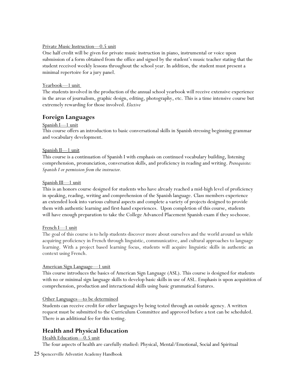#### Private Music Instruction—0.5 unit

One half credit will be given for private music instruction in piano, instrumental or voice upon submission of a form obtained from the office and signed by the student's music teacher stating that the student received weekly lessons throughout the school year. In addition, the student must present a minimal repertoire for a jury panel.

#### Yearbook—1 unit

The students involved in the production of the annual school yearbook will receive extensive experience in the areas of journalism, graphic design, editing, photography, etc. This is a time intensive course but extremely rewarding for those involved. *Elective*

## **Foreign Languages**

#### Spanish I—1 unit

This course offers an introduction to basic conversational skills in Spanish stressing beginning grammar and vocabulary development.

#### Spanish II—1 unit

This course is a continuation of Spanish I with emphasis on continued vocabulary building, listening comprehension, pronunciation, conversation skills, and proficiency in reading and writing. *Prerequisite: Spanish I or permission from the instructor.*

#### Spanish III—1 unit

This is an honors course designed for students who have already reached a mid-high level of proficiency in speaking, reading, writing and comprehension of the Spanish language. Class members experience an extended look into various cultural aspects and complete a variety of projects designed to provide them with authentic learning and first-hand experiences. Upon completion of this course, students will have enough preparation to take the College Advanced Placement Spanish exam if they sochoose.

#### French I-1 unit

The goal of this course is to help students discover more about ourselves and the world around us while acquiring proficiency in French through linguistic, communicative, and cultural approaches to language learning. With a project based learning focus, students will acquire linguistic skills in authentic an context using French.

#### American Sign Language—1 unit

This course introduces the basics of American Sign Language (ASL). This course is designed for students with no or minimal sign language skills to develop basic skills in use of ASL. Emphasis is upon acquisition of comprehension, production and interactional skills using basic grammatical features.

#### Other Languages—to be determined

Students can receive credit for other languages by being tested through an outside agency. A written request must be submitted to the Curriculum Committee and approved before a test can be scheduled. There is an additional fee for this testing.

## **Health and Physical Education**

#### Health Education—0.5 unit

The four aspects of health are carefully studied: Physical, Mental/Emotional, Social and Spiritual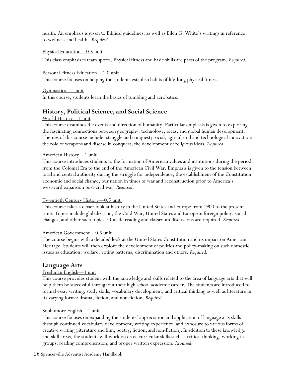health. An emphasis is given to Biblical guidelines, as well as Ellen G. White's writings in reference to wellness and health. *Required.*

#### Physical Education—0.5 unit

This class emphasizes team sports. Physical fitness and basic skills are parts of the program. *Required.*

#### Personal Fitness Education—1.0 unit

This course focuses on helping the students establish habits of life-long physical fitness.

Gymnastics—1 unit In this course, students learn the basics of tumbling and acrobatics.

## **History, Political Science, and Social Science**

## World History—1 unit

This course examines the events and direction of humanity. Particular emphasis is given to exploring the fascinating connections between geography, technology, ideas, and global human development. Themes of this course include: struggle and conquest; social, agricultural and technological innovation; the role of weapons and disease in conquest; the development of religious ideas. *Required*.

#### American History—1 unit

This course introduces students to the formation of American values and institutions during the period from the Colonial Era to the end of the American Civil War. Emphasis is given to the tension between local and central authority during the struggle for independence, the establishment of the Constitution, economic and social change, our nation in times of war and reconstruction prior to America's westward expansion post-civil war. *Required*.

## Twentieth Century History—0.5 unit

This course takes a closer look at history in the United States and Europe from 1900 to the present time. Topics include globalization, the Cold War, United States and European foreign policy, social changes, and other such topics. Outside reading and classroom discussions are required. *Required*.

#### American Government—0.5 unit

The course begins with a detailed look at the United States Constitution and its impact on American Heritage. Students will then explore the development of politics and policy-making on such domestic issues as education, welfare, voting patterns, discrimination and others. *Required.*

## **Language Arts**

## Freshman English—1 unit

This course provides student with the knowledge and skills related to the area of language arts that will help them be successful throughout their high school academic career. The students are introduced to formal essay writing, study skills, vocabulary development, and critical thinking as well as literature in its varying forms: drama, fiction, and non-fiction. *Required.*

## Sophomore English—1 unit

This course focuses on expanding the students' appreciation and application of language arts skills through continued vocabulary development, writing experience, and exposure to various forms of creative writing (literature and film, poetry, fiction,and non-fiction). In addition to these knowledge and skill areas, the students will work on cross curricular skills such as critical thinking, working in groups, reading comprehension, and proper written expression. *Required.*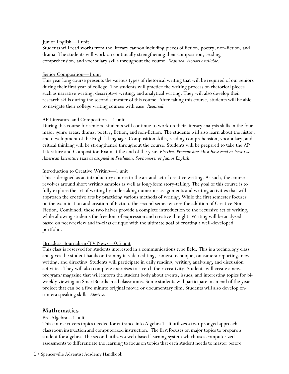#### Junior English—1 unit

Students will read works from the literary cannon including pieces of fiction, poetry, non-fiction, and drama. The students will work on continually strengthening their composition, reading comprehension, and vocabulary skills throughout the course. *Required. Honors available.*

#### Senior Composition—1 unit

This year long course presents the various types of rhetorical writing that will be required of our seniors during their first year of college. The students will practice the writing process on rhetorical pieces such as narrative writing, descriptive writing, and analytical writing. They will also develop their research skills during the second semester of this course. After taking this course, students will be able to navigate their college writing courses with ease. *Required.*

#### AP Literature and Composition—1 unit

During this course for seniors, students will continue to work on their literary analysis skills in the four major genre areas: drama, poetry, fiction, and non-fiction. The students will also learn about the history and development of the English language. Composition skills, reading comprehension, vocabulary, and critical thinking will be strengthened throughout the course. Students will be prepared to take the AP Literature and Composition Exam at the end of the year. *Elective*. *Prerequisite: Must have read at least two American Literature texts as assigned in Freshman, Sophomore, or Junior English.*

#### Introduction to Creative Writing—1 unit

This is designed as an introductory course to the art and act of creative writing. As such, the course revolves around short writing samples as well as long-form story-telling. The goal of this course is to fully explore the art of writing by undertaking numerous assignments and writing activities that will approach the creative arts by practicing various methods of writing. While the first semester focuses on the examination and creation of Fiction, the second semester sees the addition of Creative Non-Fiction. Combined, these two halves provide a complete introduction to the recursive act of writing, while allowing students the freedom of expression and creative thought. Writing will be analyzed based on peer-review and in-class critique with the ultimate goal of creating a well-developed portfolio.

#### Broadcast Journalism/TV News—0.5 unit

This class is reserved for students interested in a communications type field. This is a technology class and gives the student hands on training in video editing, camera technique, on camera reporting, news writing, and directing. Students will participate in daily reading, writing, analyzing, and discussion activities. They will also complete exercises to stretch their creativity. Students will create a news program/magazine that will inform the student body about events, issues, and interesting topics for biweekly viewing on SmartBoards in all classrooms. Some students will participate in an end of the year project that can be a five minute original movie or documentary film. Students will also develop oncamera speaking skills. *Elective.*

## **Mathematics**

#### Pre-Algebra---1 unit

This course covers topics needed for entrance into Algebra 1. It utilizesa two-pronged approach – classroom instruction and computerized instruction. The first focuses on major topics to prepare a student for algebra. The second utilizes a web-based learning system which uses computerized assessments to differentiate the learning to focus on topics that each student needs to master before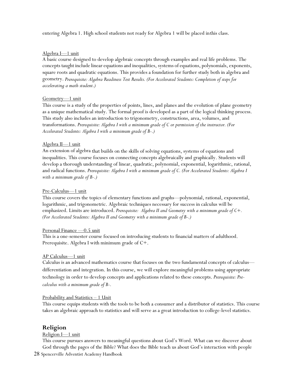entering Algebra 1. High school students not ready for Algebra 1 will be placed inthis class.

#### Algebra I—1 unit

A basic course designed to develop algebraic concepts through examples and real life problems. The concepts taught include linear equationsand inequalities, systems of equations, polynomials, exponents, square roots and quadratic equations. This provides a foundation for further study both in algebra and geometry. *Prerequisite: Algebra Readiness Test Results. (For Accelerated Students: Completion of steps for accelerating a math student.)*

#### Geometry—1 unit

This course is a study of the properties of points, lines, and planes and the evolution of plane geometry as a unique mathematical study. The formal proof is developed as a part of the logical thinking process. This study also includes an introduction to trigonometry, constructions, area, volumes, and transformations. *Prerequisite: Algebra I with a minimum grade of C or permission of the instructor. (For Accelerated Students: Algebra I with a minimum grade of B-.)*

#### Algebra II—1 unit

An extension of algebra that builds on the skills of solving equations, systems of equations and inequalities. This course focuses on connecting concepts algebraically and graphically. Students will develop a thorough understanding of linear, quadratic, polynomial, exponential, logarithmic, rational, and radical functions. *Prerequisite: Algebra I with a minimum grade of C. (For Accelerated Students: Algebra I with a minimum grade of B-.)*

#### Pre-Calculus—1 unit

This course covers the topics of elementary functions and graphs—polynomial, rational, exponential, logarithmic, and trigonometric. Algebraic techniques necessary for success in calculus will be emphasized. Limits are introduced. *Prerequisite: Algebra II and Geometry with a minimum grade of C+. (For Accelerated Students: Algebra II and Geometry with a minimum grade of B-.)*

#### Personal Finance —0.5 unit

This is a one-semester course focused on introducing students to financial matters of adulthood. Prerequisite. Algebra I with minimum grade of C+.

#### AP Calculus—1 unit

Calculus is an advanced mathematics course that focuses on the two fundamental concepts of calculus differentiation and integration. In this course, we will explore meaningful problems using appropriate technology in order to develop concepts and applications related to these concepts. *Prerequisite: Precalculus with a minimum grade of B-.*

#### Probability and Statistics – 1 Unit

This course equips students with the tools to be both a consumer and a distributor of statistics. This course takes an algebraic approach to statistics and will serve as a great introduction to college-level statistics.

## **Religion**

#### Religion I—1 unit

This course pursues answers to meaningful questions about God's Word. What can we discover about God through the pages of the Bible? What does the Bible teach us about God's interaction with people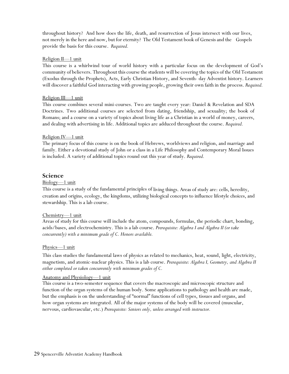throughout history? And how does the life, death, and resurrection of Jesus intersect with our lives, not merely in the here and now, but for eternity? The Old Testament book of Genesis and the Gospels provide the basis for this course. *Required.*

#### Religion II—1 unit

This course is a whirlwind tour of world history with a particular focus on the development of God's community of believers. Throughout this course the students will be covering the topics of the Old Testament (Exodus through the Prophets), Acts, Early Christian History, and Seventh- day Adventist history. Learners will discover a faithful God interacting with growing people, growing their own faith in the process. *Required.*

#### Religion III—1 unit

This course combines several mini-courses. Two are taught every year: Daniel & Revelation and SDA Doctrines. Two additional courses are selected from dating, friendship, and sexuality; the book of Romans; and a course on a variety of topics about living life as a Christian in a world of money, careers, and dealing with advertising in life. Additional topics are adduced throughout the course. *Required.*

#### Religion IV—1 unit

The primary focus of this course is on the book of Hebrews, worldviews and religion, and marriage and family. Either a devotional study of John or a class in a Life Philosophy and Contemporary Moral Issues is included. A variety of additional topics round out this year of study. *Required.*

#### **Science**

#### Biology—1 unit

This course is a study of the fundamental principles of living things. Areas of study are: cells, heredity, creation and origins, ecology, the kingdoms, utilizing biological concepts to influence lifestyle choices, and stewardship. This is a lab course.

#### Chemistry—1 unit

Areas of study for this course will include the atom, compounds, formulas, the periodic chart, bonding, acids/bases, and electrochemistry. This is a lab course. *Prerequisite: Algebra I and Algebra II (or take concurrently) with a minimum grade of C. Honors available.*

#### Physics—1 unit

This class studies the fundamental laws of physics as related to mechanics, heat, sound, light, electricity, magnetism, and atomic-nuclear physics. This is a lab course. *Prerequisite: Algebra I, Geometry, and Algebra II either completed or taken concurrently with minimum grades of C.*

#### Anatomy and Physiology—1 unit

This course is a two-semester sequence that covers the macroscopic and microscopic structure and function of the organ systems of the human body. Some applications to pathology and health are made, but the emphasis is on the understanding of "normal" functions of cell types, tissues and organs, and how organ systems are integrated. All of the major systems of the body will be covered (muscular, nervous, cardiovascular, etc.) *Prerequisite: Seniors only, unless arranged with instructor.*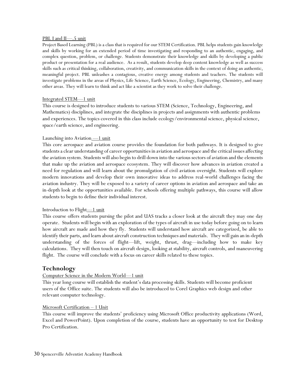#### PBL I and II—.5 unit

Project Based Learning (PBL) is a class that is required for our STEM Certification. PBL helps students gain knowledge and skills by working for an extended period of time investigating and responding to an authentic, engaging, and complex question, problem, or challenge. Students demonstrate their knowledge and skills by developing a public product or presentation for a real audience. As a result, students develop deep content knowledge as well as success skills such as critical thinking, collaboration, creativity, and communication skills in the context of doing an authentic, meaningful project. PBL unleashes a contagious, creative energy among students and teachers. The students will investigate problems in the areas of Physics, Life Science, Earth Science, Ecology, Engineering, Chemistry, and many other areas. They will learn to think and act like a scientist as they work to solve their challenge.

#### Integrated STEM—1 unit

This course is designed to introduce students to various STEM (Science, Technology, Engineering, and Mathematics) disciplines, and integrate the disciplines in projects and assignments with authentic problems and experiences. The topics covered in this class include ecology/environmental science, physical science, space/earth science, and engineering.

#### Launching into Aviation <u>—1 unit</u>

This core aerospace and aviation course provides the foundation for both pathways. It is designed to give students a clear understanding of career opportunities in aviation and aerospace and the critical issues affecting the aviation system. Students will also begin to drill down into the various sectors of aviation and the elements that make up the aviation and aerospace ecosystem. They will discover how advances in aviation created a need for regulation and will learn about the promulgation of civil aviation oversight. Students will explore modern innovations and develop their own innovative ideas to address real-world challenges facing the aviation industry. They will be exposed to a variety of career options in aviation and aerospace and take an in-depth look at the opportunities available. For schools offering multiple pathways, this course will allow students to begin to define their individual interest.

#### Introduction to Flight—1 unit

This course offers students pursing the pilot and UAS tracks a closer look at the aircraft they may one day operate. Students will begin with an exploration of the types of aircraft in use today before going on to learn how aircraft are made and how they fly. Students will understand how aircraft are categorized, be able to identify their parts, and learn about aircraft construction techniques and materials. They will gain an in-depth understanding of the forces of flight—lift, weight, thrust, drag—including how to make key calculations. They will then touch on aircraft design, looking at stability, aircraft controls, and maneuvering flight. The course will conclude with a focus on career skills related to these topics.

## **Technology**

#### Computer Science in the Modern World—1 unit

This year long course will establish the student's data processing skills. Students will become proficient users of the Office suite. The students will also be introduced to Corel Graphics web design and other relevant computer technology.

#### Microsoft Certification – 1 Unit

This course will improve the students' proficiency using Microsoft Office productivity applications (Word, Excel and PowerPoint). Upon completion of the course, students have an opportunity to test for Desktop Pro Certification.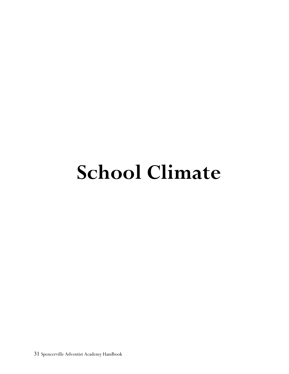# **School Climate**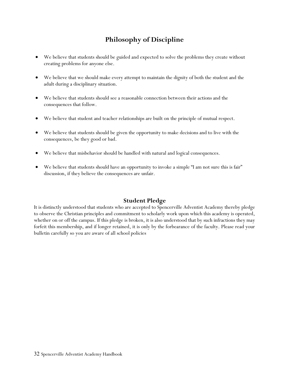# **Philosophy of Discipline**

- We believe that students should be guided and expected to solve the problems they create without creating problems for anyone else.
- We believe that we should make every attempt to maintain the dignity of both the student and the adult during a disciplinary situation.
- We believe that students should see a reasonable connection between their actions and the consequences that follow.
- We believe that student and teacher relationships are built on the principle of mutual respect.
- We believe that students should be given the opportunity to make decisions and to live with the consequences, be they good or bad.
- We believe that misbehavior should be handled with natural and logical consequences.
- We believe that students should have an opportunity to invoke a simple "I am not sure this is fair" discussion, if they believe the consequences are unfair.

## **Student Pledge**

It is distinctly understood that students who are accepted to Spencerville Adventist Academy thereby pledge to observe the Christian principles and commitment to scholarly work upon which this academy is operated, whether on or off the campus. If this pledge is broken, it is also understood that by such infractions they may forfeit this membership, and if longer retained, it is only by the forbearance of the faculty. Please read your bulletin carefully so you are aware of all school policies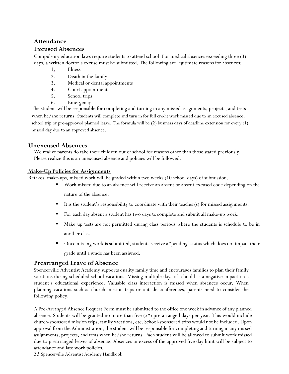## **Attendance**

## **Excused Absences**

Compulsory education laws require students to attend school. For medical absences exceeding three (3) days, a written doctor's excuse must be submitted. The following are legitimate reasons for absences:

- 1. Illness
- 2. Death in the family
- 3. Medical or dental appointments
- 4. Court appointments
- 5. School trips
- 6. Emergency

The student will be responsible for completing and turning in any missed assignments, projects, and tests when he/she returns. Students will complete and turn in for full credit work missed due to an excused absence, school trip or pre-approved planned leave. The formula will be (2) business days of deadline extension for every (1) missed day due to an approved absence.

## **Unexcused Absences**

We realize parents do take their children out of school for reasons other than those stated previously. Please realize this is an unexcused absence and policies will be followed.

## **Make-Up Policies for Assignments**

Retakes, make-ups, missed work will be graded within two weeks (10 school days) of submission.

- Work missed due to an absence will receive an absent or absent excused code depending on the nature of the absence.
- It is the student's responsibility to coordinate with their teacher(s) for missed assignments.
- For each day absent a student has two days tocomplete and submit all make-up work.
- Make up tests are not permitted during class periods where the students is schedule to be in another class.
- Once missing work is submitted, students receive a "pending" status which does not impact their grade until a grade has been assigned.

## **Prearranged Leave of Absence**

Spencerville Adventist Academy supports quality family time and encourages families to plan their family vacations during scheduled school vacations. Missing multiple days of school has a negative impact on a student's educational experience. Valuable class interaction is missed when absences occur. When planning vacations such as church mission trips or outside conferences, parents need to consider the following policy.

A Pre-Arranged Absence Request Form must be submitted to the office one week in advance of any planned absence. Students will be granted no more than five (5\*) pre-arranged days per year. This would include church-sponsored mission trips, family vacations, etc. School-sponsored trips would not be included. Upon approval from the Administration, the student will be responsible for completing and turning in any missed assignments, projects, and tests when he/she returns. Each student will be allowed to submit work missed due to prearranged leaves of absence. Absences in excess of the approved five day limit will be subject to attendance and late work policies.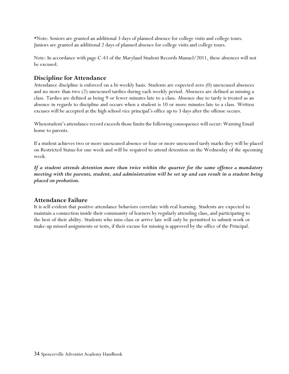\*Note: Seniors are granted an additional 3 days of planned absence for college visits and college tours. Juniors are granted an additional 2 days of planned absence for college visits and college tours.

Note: In accordance with page C-43 of the Maryland Student Records Manuel/2011, these absences will not be excused.

## **Discipline for Attendance**

Attendance discipline is enforced on a bi-weekly basis. Students are expected zero (0) unexcused absences and no more than two (2) unexcused tardies during each weekly period. Absences are defined as missing a class. Tardies are defined as being 9 or fewer minutes late to a class. Absence due to tardy is treated as an absence in regards to discipline and occurs when a student is 10 or more minutes late to a class. Written excuses will be accepted at the high school vice principal's office up to 3 days after the offense occurs.

Whenstudent's attendance record exceeds those limits the following consequence will occur: Warning Email home to parents.

If a student achieves two or more unexcused absence or four or more unexcused tardy marks they will be placed on Restricted Status for one week and will be required to attend detention on the Wednesday of the upcoming week.

*If a student attends detention more than twice within the quarter for the same offence a mandatory meeting with the parents, student, and administration will be set up and can result in a student being placed on probation.* 

## **Attendance Failure**

It is self-evident that positive attendance behaviors correlate with real learning. Students are expected to maintain a connection inside their community of learners by regularly attending class, and participating to the best of their ability. Students who miss class or arrive late will only be permitted to submit work or make-up missed assignments or tests, if their excuse for missing is approved by the office of the Principal.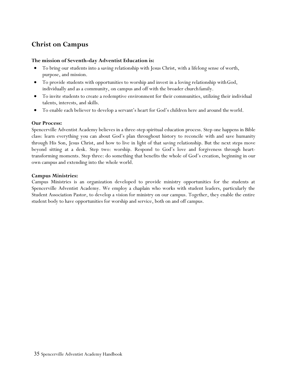# **Christ on Campus**

#### **The mission of Seventh-day Adventist Education is:**

- To bring our students into a saving relationship with Jesus Christ, with a lifelong sense of worth, purpose, and mission.
- To provide students with opportunities to worship and invest in a loving relationship withGod, individually and as a community, on campus and off with the broader church family.
- To invite students to create a redemptive environment for their communities, utilizing their individual talents, interests, and skills.
- To enable each believer to develop a servant's heart for God's children here and around theworld.

#### **Our Process:**

Spencerville Adventist Academy believes in a three-step spiritual education process. Step one happens in Bible class: learn everything you can about God's plan throughout history to reconcile with and save humanity through His Son, Jesus Christ, and how to live in light of that saving relationship. But the next steps move beyond sitting at a desk. Step two: worship. Respond to God's love and forgiveness through hearttransforming moments. Step three: do something that benefits the whole of God's creation, beginning in our own campus and extending into the whole world.

#### **Campus Ministries:**

Campus Ministries is an organization developed to provide ministry opportunities for the students at Spencerville Adventist Academy. We employ a chaplain who works with student leaders, particularly the Student Association Pastor, to develop a vision for ministry on our campus. Together, they enable the entire student body to have opportunities for worship and service, both on and off campus.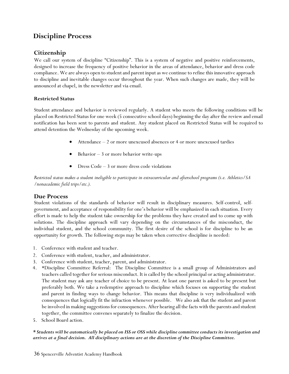# **Discipline Process**

## **Citizenship**

We call our system of discipline "Citizenship". This is a system of negative and positive reinforcements, designed to increase the frequency of positive behavior in the areas of attendance, behavior and dress code compliance. We are always open to student and parent input as we continue to refine this innovative approach to discipline and inevitable changes occur throughout the year. When such changes are made, they will be announced at chapel, in the newsletter and via email.

## **Restricted Status**

Student attendance and behavior is reviewed regularly. A student who meets the following conditions will be placed on Restricted Status for one week (5 consecutive school days) beginning the day after the review and email notification has been sent to parents and student. Any student placed on Restricted Status will be required to attend detention the Wednesday of the upcoming week.

- Attendance 2 or more unexcused absences or 4 or more unexcused tardies
- Behavior  $-3$  or more behavior write-ups
- Dress Code 3 or more dress code violations

*Restricted status makes a student ineligible to participate in extracurricular and afterschool programs (i.e. Athletics/SA /nonacademic field trips/etc.).*

## **Due Process**

Student violations of the standards of behavior will result in disciplinary measures. Self-control, selfgovernment, and acceptance of responsibility for one's behavior will be emphasized in each situation. Every effort is made to help the student take ownership for the problems they have created and to come up with solutions. The discipline approach will vary depending on the circumstances of the misconduct, the individual student, and the school community. The first desire of the school is for discipline to be an opportunity for growth. The following steps may be taken when corrective discipline is needed:

- 1. Conference with student and teacher.
- 2. Conference with student, teacher, and administrator.
- 3. Conference with student, teacher, parent, and administrator.
- 4. \*Discipline Committee Referral: The Discipline Committee is a small group of Administrators and teachers called together for serious misconduct. It is called by the school principal or acting administrator. The student may ask any teacher of choice to be present. At least one parent is asked to be present but preferably both. We take a redemptive approach to discipline which focuses on supporting the student and parent in finding ways to change behavior. This means that discipline is very individualized with consequences that logically fit the infraction whenever possible. We also ask that the student and parent be involved in making suggestions for consequences. After hearing all the facts with the parents and student together, the committee convenes separately to finalize the decision.
- 5. School Board action.

## *\* Students will be automatically be placed on ISS or OSS while discipline committee conducts its investigation and arrives at a final decision. All disciplinary actions are at the discretion of the Discipline Committee.*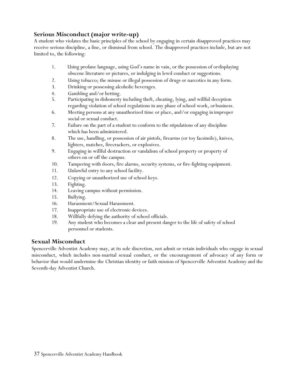## **Serious Misconduct (major write-up)**

A student who violates the basic principles of the school by engaging in certain disapproved practices may receive serious discipline, a fine, or dismissal from school. The disapproved practices include, but are not limited to, the following:

- 1. Using profane language, using God's name in vain, or the possession of ordisplaying obscene literature or pictures, or indulging in lewd conduct or suggestions.
- 2. Using tobacco; the misuse or illegal possession of drugs or narcotics in any form.
- 3. Drinking or possessing alcoholic beverages.
- 4. Gambling and/or betting.
- 5. Participating in dishonesty including theft, cheating, lying, and willful deception regarding violation of school regulations in any phase of school work, orbusiness.
- 6. Meeting persons at any unauthorized time or place, and/or engaging in improper social or sexual conduct.
- 7. Failure on the part of a student to conform to the stipulations of any discipline which has been administered.
- 8. The use, handling, or possession of air pistols, firearms (or toy facsimile), knives, lighters, matches, firecrackers, or explosives.
- 9. Engaging in willful destruction or vandalism of school property or property of others on or off the campus.
- 10. Tampering with doors, fire alarms, security systems, or fire-fighting equipment.
- 11. Unlawful entry to any school facility.
- 12. Copying or unauthorized use of school keys.
- 13. Fighting.
- 14. Leaving campus without permission.
- 15. Bullying.
- 16. Harassment/Sexual Harassment.
- 17. Inappropriate use of electronic devices.
- 18. Willfully defying the authority of school officials.
- 19. Any student who becomes a clear and present danger to the life of safety of school personnel or students.

## **Sexual Misconduct**

Spencerville Adventist Academy may, at its sole discretion, not admit or retain individuals who engage in sexual misconduct, which includes non-marital sexual conduct, or the encouragement of advocacy of any form or behavior that would undermine the Christian identity or faith mission of Spencerville Adventist Academy and the Seventh-day Adventist Church.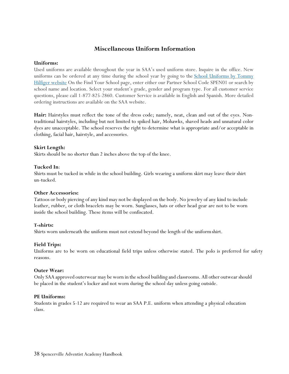## **Miscellaneous Uniform Information**

#### **Uniforms:**

Used uniforms are available throughout the year in SAA's used uniform store. Inquire in the office. New uniforms can be ordered at any time during the school year by going to the School Uniforms by Tommy [Hilfiger website](https://www.globalschoolwear.com/) On the Find Your School page, enter either our Partner School Code SPEN01 or search by school name and location. Select your student's grade, gender and program type. For all customer service questions, please call 1-877-825-2860. Customer Service is available in English and Spanish. More detailed ordering instructions are available on the SAA website.

Hair: Hairstyles must reflect the tone of the dress code; namely, neat, clean and out of the eyes. Nontraditional hairstyles, including but not limited to spiked hair, Mohawks, shaved heads and unnatural color dyes are unacceptable. The school reserves the right to determine what is appropriate and/or acceptable in clothing, facial hair, hairstyle, and accessories.

#### **Skirt Length:**

Skirts should be no shorter than 2 inches above the top of the knee.

#### **Tucked In**:

Shirts must be tucked in while in the school building. Girls wearing a uniform skirt may leave their shirt un-tucked.

#### **Other Accessories:**

Tattoos or body piercing of any kind may not be displayed on the body. No jewelry of any kind to include leather, rubber, or cloth bracelets may be worn. Sunglasses, hats or other head gear are not to be worn inside the school building. These items will be confiscated.

#### **T-shirts:**

Shirts worn underneath the uniform must not extend beyond the length of the uniformshirt.

#### **Field Trips:**

Uniforms are to be worn on educational field trips unless otherwise stated. The polo is preferred for safety reasons.

#### **Outer Wear:**

Only SAA approved outerwear may be worn in the school building and classrooms. All other outwear should be placed in the student's locker and not worn during the school day unless going outside.

#### **PE Uniforms:**

Students in grades 5-12 are required to wear an SAA P.E. uniform when attending a physical education class.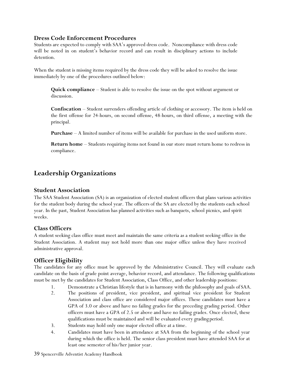## **Dress Code Enforcement Procedures**

Students are expected to comply with SAA's approved dress code. Noncompliance with dress code will be noted in on student's behavior record and can result in disciplinary actions to include detention.

When the student is missing items required by the dress code they will be asked to resolve the issue immediately by one of the procedures outlined below:

**Quick compliance** – Student is able to resolve the issue on the spot without argument or discussion.

**Confiscation** – Student surrenders offending article of clothing or accessory. The item is held on the first offense for 24-hours, on second offense, 48-hours, on third offense, a meeting with the principal.

**Purchase** – A limited number of items will be available for purchase in the used uniform store.

**Return home** – Students requiring items not found in our store must return home to redress in compliance.

# **Leadership Organizations**

## **Student Association**

The SAA Student Association (SA) is an organization of elected student officers that plans various activities for the student body during the school year. The officers of the SA are elected by the students each school year. In the past, Student Association has planned activities such as banquets, school picnics, and spirit weeks.

## **Class Officers**

A student seeking class office must meet and maintain the same criteria as a student seeking office in the Student Association. A student may not hold more than one major office unless they have received administrative approval.

## **Officer Eligibility**

The candidates for any office must be approved by the Administrative Council. They will evaluate each candidate on the basis of grade point average, behavior record, and attendance. The following qualifications must be met by the candidates for Student Association, Class Office, and other leadership positions:

- 1. Demonstrate a Christian lifestyle that is in harmony with the philosophy and goals of SAA.
- 2. The positions of president, vice president, and spiritual vice president for Student Association and class office are considered major offices. These candidates must have a GPA of 3.0 or above and have no failing grades for the preceding grading period. Other officers must have a GPA of 2.5 or above and have no failing grades. Once elected, these qualifications must be maintained and will be evaluated every gradingperiod.
- 3. Students may hold only one major elected office at a time.
- 4. Candidates must have been in attendance at SAA from the beginning of the school year during which the office is held. The senior class president must have attended SAA for at least one semester of his/her junior year.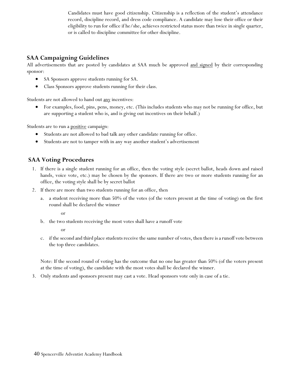Candidates must have good citizenship. Citizenship is a reflection of the student's attendance record, discipline record, and dress code compliance. A candidate may lose their office or their eligibility to run for office if he/she, achieves restricted status more than twice in single quarter, or is called to discipline committee for other discipline.

## **SAA Campaigning Guidelines**

All advertisements that are posted by candidates at SAA much be approved and signed by their corresponding sponsor:

- SA Sponsors approve students running for SA.
- Class Sponsors approve students running for their class.

Students are not allowed to hand out <u>any</u> incentives:

• For examples, food, pins, pens, money, etc. (This includes students who may not be running for office, but are supporting a student who is, and is giving out incentives on their behalf.)

Students are to run a **positive** campaign:

- Students are not allowed to bad talk any other candidate running for office.
- Students are not to tamper with in any way another student's advertisement

## **SAA Voting Procedures**

- 1. If there is a single student running for an office, then the voting style (secret ballot, heads down and raised hands, voice vote, etc.) may be chosen by the sponsors. If there are two or more students running for an office, the voting style shall be by secret ballot
- 2. If there are more than two students running for an office, then
	- a. a student receiving more than 50% of the votes (of the voters present at the time of voting) on the first round shall be declared the winner

or

b. the two students receiving the most votes shall have a runoff vote

or

c. if the second and third place students receive the same number of votes, then there is a runoff vote between the top three candidates.

Note: If the second round of voting has the outcome that no one has greater than 50% (of the voters present at the time of voting), the candidate with the most votes shall be declared the winner.

3. Only students and sponsors present may cast a vote. Head sponsors vote only in case of a tie.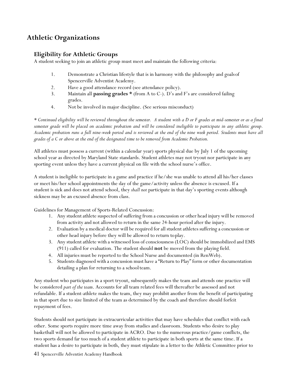# **Athletic Organizations**

## **Eligibility for Athletic Groups**

A student seeking to join an athletic group must meet and maintain the following criteria:

- 1. Demonstrate a Christian lifestyle that is in harmony with the philosophy and goalsof Spencerville Adventist Academy.
- 2. Have a good attendance record (see attendance policy).
- 3. Maintain all **passing grades \*** (from A to C-). D's and F's are considered failing grades.
- 4. Not be involved in major discipline. (See serious misconduct)

*\* Continued eligibility will be reviewed throughout the semester. A student with a D or F grades at mid-semester or as a final semester grade will be placed on academic probation and will be considered ineligible to participate in any athletic group. Academic probation runs a full nine-week period and is reviewed at the end of the nine week period. Students must have all grades of a C or above at the end of the designated time to be removed from Academic Probation.* 

All athletes must possess a current (within a calendar year) sports physical due by July 1 of the upcoming school year as directed by Maryland State standards. Student athletes may not tryout nor participate in any sporting event unless they have a current physical on file with the school nurse's office.

A student is ineligible to participate in a game and practice if he/she was unable to attend all his/her classes or meet his/her school appointments the day of the game/activity unless the absence is excused. If a student is sick and does not attend school, they *shall not* participate in that day's sporting events although sickness may be an excused absence from class.

Guidelines for Management of Sports-Related Concussion:

- 1. Any studentathlete suspected of suffering from a concussion or other head injury will be removed from activity and not allowed to return in the same 24-hour period after the injury.
- 2. Evaluation by a medical doctor will be required for all student athletes suffering a concussion or other head injury before they will be allowed to return toplay.
- 3. Any student athlete with a witnessed loss of consciousness (LOC) should be immobilized and EMS (911) called for evaluation. The student should **not** be moved from the playing field.
- 4. All injuries must be reported to the School Nurse and documented (in RenWeb).
- 5. Students diagnosed with a concussion must have a "Return to Play" form or other documentation detailing a plan for returning to a school team.

Any student who participates in a sport tryout, subsequently makes the team and attends one practice will be considered *part of the team*. Accounts for all team related fees will thereafter be assessed and not refundable. If a student-athlete makes the team, they may prohibit another from the benefit of participating in that sport due to size limited of the team as determined by the coach and therefore should forfeit repayment of fees.

Students should not participate in extracurricular activities that may have schedules that conflict with each other. Some sports require more time away from studies and classroom. Students who desire to play basketball will not be allowed to participate in ACRO. Due to the numerous practice/game conflicts, the two sports demand far too much of a student athlete to participate in both sports at the same time. If a student has a desire to participate in both, they must stipulate in a letter to the Athletic Committee prior to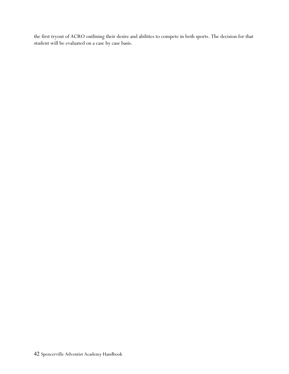the first tryout of ACRO outlining their desire and abilities to compete in both sports. The decision for that student will be evaluated on a case by case basis.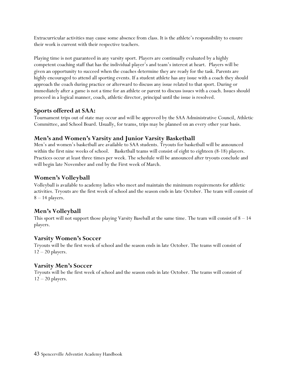Extracurricular activities may cause some absence from class. It is the athlete's responsibility to ensure their work is current with their respective teachers.

Playing time is not guaranteed in any varsity sport. Players are continually evaluated by a highly competent coaching staff that has the individual player's and team's interest at heart. Players will be given an opportunity to succeed when the coaches determine they are ready for the task. Parents are highly encouraged to attend all sporting events. If a student athlete has any issue with a coach they should approach the coach during practice or afterward to discuss any issue related to that sport. During or immediately after a game is not a time for an athlete or parent to discuss issues with a coach. Issues should proceed in a logical manner, coach, athletic director, principal until the issue is resolved.

## **Sports offered at SAA:**

Tournament trips out of state may occur and will be approved by the SAA Administrative Council, Athletic Committee, and School Board. Usually, for teams, trips may be planned on an every other year basis.

## **Men's and Women's Varsity and Junior Varsity Basketball**

Men's and women's basketball are available to SAA students. Tryouts for basketball will be announced within the first nine weeks of school. Basketball teams will consist of eight to eighteen (8-18) players. Practices occur at least three times per week. The schedule will be announced after tryouts conclude and will begin late November and end by the First week of March.

## **Women's Volleyball**

Volleyball is available to academy ladies who meet and maintain the minimum requirements for athletic activities. Tryouts are the first week of school and the season ends in late October. The team will consist of 8 – 14 players.

## **Men's Volleyball**

This sport will not support those playing Varsity Baseball at the same time. The team will consist of  $8 - 14$ players.

## **Varsity Women's Soccer**

Tryouts will be the first week of school and the season ends in late October. The teams will consist of  $12 - 20$  players.

## **Varsity Men's Soccer**

Tryouts will be the first week of school and the season ends in late October. The teams will consist of  $12 - 20$  players.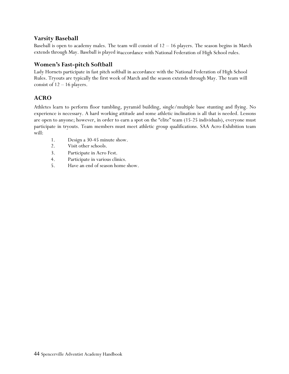## **Varsity Baseball**

Baseball is open to academy males. The team will consist of  $12 - 16$  players. The season begins in March extends through May. Baseball is played inaccordance with National Federation of High School rules.

## **Women's Fast-pitch Softball**

Lady Hornets participate in fast pitch softball in accordance with the National Federation of High School Rules. Tryouts are typically the first week of March and the season extends through May. The team will consist of 12 – 16 players.

## **ACRO**

Athletes learn to perform floor tumbling, pyramid building, single/multiple base stunting and flying. No experience is necessary. A hard working attitude and some athletic inclination is all that is needed. Lessons are open to anyone; however, in order to earn a spot on the "elite" team (15-25 individuals), everyone must participate in tryouts. Team members must meet athletic group qualifications. SAA Acro-Exhibition team will:

- 1. Design a 30-45 minute show.
- 2. Visit other schools.
- 3. Participate in Acro Fest.
- 4. Participate in various clinics.
- 5. Have an end of season home show.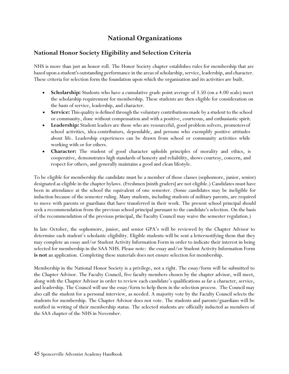# **National Organizations**

## **National Honor Society Eligibility and Selection Criteria**

NHS is more than just an honor roll. The Honor Society chapter establishes rules for membership that are based upon a student's outstanding performance in the areas of scholarship, service, leadership, and character. These criteria for selection form the foundation upon which the organization and its activities are built.

- **Scholarship:** Students who have a cumulative grade point average of 3.50 (on a 4.00 scale) meet the scholarship requirement for membership. These students are then eligible for consideration on the basis of service, leadership, and character.
- **Service:** This quality is defined through the voluntary contributions made by a student to the school or community, done without compensation and with a positive, courteous, and enthusiastic spirit.
- **Leadership:** Student leaders are those who are resourceful, good problem solvers, promotersof school activities, idea-contributors, dependable, and persons who exemplify positive attitudes about life. Leadership experiences can be drawn from school or community activities while working with or for others.
- **Character:** The student of good character upholds principles of morality and ethics, is cooperative, demonstrates high standards of honesty and reliability, shows courtesy, concern, and respect for others, and generally maintains a good and clean lifestyle.

To be eligible for membership the candidate must be a member of those classes (sophomore, junior, senior) designated as eligible in the chapter bylaws. (Freshmen [ninth graders] are not eligible.) Candidates must have been in attendance at the school the equivalent of one semester. (Some candidates may be ineligible for induction because of the semester ruling. Many students, including students of military parents, are required to move with parents or guardians that have transferred in their work. The present school principal should seek a recommendation from the previous school principal pursuant to the candidate's selection. On the basis of the recommendation of the previous principal, the Faculty Council may waive the semester regulation.)

In late October, the sophomore, junior, and senior GPA's will be reviewed by the Chapter Advisor to determine each student's scholastic eligibility. Eligible students will be sent a letternotifying them that they may complete an essay and/or Student Activity Information Form in order to indicate their interest in being selected for membership in the SAA NHS. Please note: the essay and/or Student Activity Information Form **is not** an application. Completing these materials does not ensure selection for membership.

Membership in the National Honor Society is a privilege, not a right. The essay/form will be submitted to the Chapter Advisor. The Faculty Council, five faculty members chosen by the chapter advisor, will meet, along with the Chapter Advisor in order to review each candidate's qualifications as far a character, service, and leadership. The Council will use the essay/form to help them in the selection process. The Council may also call the student for a personal interview, as needed. A majority vote by the Faculty Council selects the students for membership. The Chapter Advisor does not vote. The students and parents/guardians will be notified in writing of their membership status. The selected students are officially inducted as members of the SAA chapter of the NHS in November.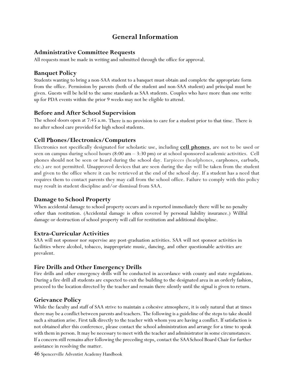# **General Information**

## **Administrative Committee Requests**

All requests must be made in writing and submitted through the office for approval.

## **Banquet Policy**

Students wanting to bring a non-SAA student to a banquet must obtain and complete the appropriate form from the office. Permission by parents (both of the student and non-SAA student) and principal must be given. Guests will be held to the same standards as SAA students. Couples who have more than one write up for PDA events within the prior 9 weeks may not be eligible to attend.

## **Before and After School Supervision**

The school doors open at 7:45 a.m. There is no provision to care for a student prior to that time. There is no after school care provided for high school students.

## **Cell Phones/Electronics/Computers**

Electronics not specifically designated for scholastic use, including **cell phones**, are not to be used or seen on campus during school hours  $(8:00 \text{ am} - 3:30 \text{ pm})$  or at school sponsored academic activities. Cell phones should not be seen or heard during the school day. Earpieces (headphones, earphones, earbuds, etc.) are not permitted. Unapproved devices that are seen during the day will be taken from the student and given to the office where it can be retrieved at the end of the school day. If a student has a need that requires them to contact parents they may call from the school office. Failure to comply with this policy may result in student discipline and/or dismissal from SAA.

## **Damage to School Property**

When accidental damage to school property occurs and is reported immediately there will be no penalty other than restitution. (Accidental damage is often covered by personal liability insurance.) Willful damage or destruction of school property will call for restitution and additional discipline.

## **Extra-Curricular Activities**

SAA will not sponsor nor supervise any post-graduation activities. SAA will not sponsor activities in facilities where alcohol, tobacco, inappropriate music, dancing, and other questionable activities are prevalent.

## **Fire Drills and Other Emergency Drills**

Fire drills and other emergency drills will be conducted in accordance with county and state regulations. During a fire drill all students are expected to exit the building to the designated area in an orderly fashion, proceed to the location directed by the teacher and remain there silently until the signal is given to return.

## **Grievance Policy**

While the faculty and staff of SAA strive to maintain a cohesive atmosphere, it is only natural that at times there may be a conflict between parents and teachers. The following is a guideline of the steps to take should such a situation arise. First talk directly to the teacher with whom you are having a conflict. If satisfaction is not obtained after this conference, please contact the school administration and arrange for a time to speak with them in person. It may be necessary to meet with the teacher and administrator in some circumstances. If a concern still remains after following the preceding steps, contact the SAASchool Board Chair for further assistance in resolving the matter.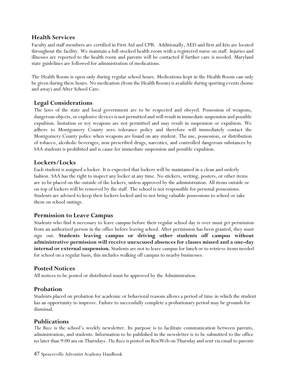## **Health Services**

Faculty and staff members are certified in First Aid and CPR. Additionally, AED and first aid kits are located throughout the facility. We maintain a full-stocked health room with a registered nurse on staff. Injuries and illnesses are reported to the health room and parents will be contacted if further care is needed. Maryland state guidelines are followed for administration of medications.

The Health Room is open only during regular school hours. Medications kept in the Health Room can only be given during these hours. No medication (from the Health Room) is available during sporting events (home and away) and After School Care.

## **Legal Considerations**

The laws of the state and local government are to be respected and obeyed. Possession of weapons, dangerous objects, or explosive devices is not permitted and will result in immediate suspension and possible expulsion. Imitation or toy weapons are not permitted and may result in suspension or expulsion. We adhere to Montgomery County zero tolerance policy and therefore will immediately contact the Montgomery County police when weapons are found on any student. The use, possession, or distribution of tobacco, alcoholic beverages, non-prescribed drugs, narcotics, and controlled dangerous substances by SAA students is prohibited and is cause for immediate suspension and possible expulsion.

## **Lockers/Locks**

Each student is assigned a locker. It is expected that lockers will be maintained in a clean and orderly fashion. SAA has the right to inspect any locker at any time. No stickers, writing, posters, or other items are to be placed on the outside of the lockers, unless approved by the administration. All items outside or on top of lockers will be removed by the staff. The school is not responsible for personal possessions. Students are advised to keep their lockers locked and to not bring valuable possessions to school or take them on school outings.

## **Permission to Leave Campus**

Students who find it necessary to leave campus before their regular school day is over must get permission from an authorized person in the office before leaving school. After permission has been granted, they must sign out. **Students leaving campus or driving other students off campus without administrative permission will receive unexcused absences for classes missed and a one-day internal or external suspension.** Students are not to leave campus for lunch or to retrieve items needed for school on a regular basis, this includes walking off campus to nearby businesses.

## **Posted Notices**

All notices to be posted or distributed must be approved by the Administration.

## **Probation**

Students placed on probation for academic or behavioral reasons allows a period of time in which the student has an opportunity to improve. Failure to successfully complete a probationary period may be grounds for dismissal.

## **Publications**

*The Buzz* is the school's weekly newsletter. Its purpose is to facilitate communication between parents, administration, and students. Information to be published in the newsletter is to be submitted to the office no later than 9:00 am on Thursdays. *The Buzz* is posted on RenWeb on Thursday and sent via email to parents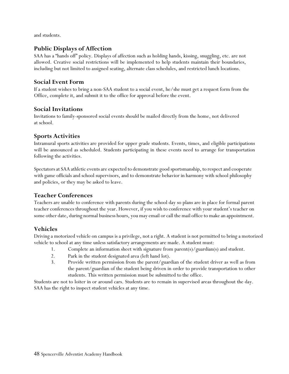and students.

## **Public Displays of Affection**

SAA has a "hands off" policy. Displays of affection such as holding hands, kissing, snuggling, etc. are not allowed. Creative social restrictions will be implemented to help students maintain their boundaries, including but not limited to assigned seating, alternate class schedules, and restricted lunch locations.

## **Social Event Form**

If a student wishes to bring a non-SAA student to a social event, he/she must get a request form from the Office, complete it, and submit it to the office for approval before the event.

## **Social Invitations**

Invitations to family-sponsored social events should be mailed directly from the home, not delivered at school.

## **Sports Activities**

Intramural sports activities are provided for upper grade students. Events, times, and eligible participations will be announced as scheduled. Students participating in these events need to arrange for transportation following the activities.

Spectators at SAA athletic events are expected to demonstrate good sportsmanship, to respect and cooperate with game officials and school supervisors, and to demonstrate behavior in harmony with school philosophy and policies, or they may be asked to leave.

## **Teacher Conferences**

Teachers are unable to conference with parents during the school day so plans are in place for formal parent teacher conferences throughout the year. However, if you wish to conference with your student's teacher on some other date, during normal business hours, you may email or call the mail office to make an appointment.

## **Vehicles**

Driving a motorized vehicle on campus is a privilege, not a right. A student is not permitted to bring a motorized vehicle to school at any time unless satisfactory arrangements are made. A student must:

- 1. Complete an information sheet with signature from parent(s)/guardian(s) and student.
- 2. Park in the student designated area (left hand lot).
- 3. Provide written permission from the parent/guardian of the student driver as well as from the parent/guardian of the student being driven in order to provide transportation to other students. This written permission must be submitted to the office.

Students are not to loiter in or around cars. Students are to remain in supervised areas throughout the day. SAA has the right to inspect student vehicles at any time.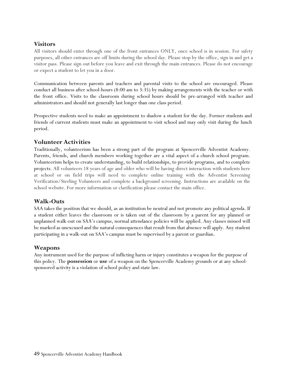## **Visitors**

All visitors should enter through one of the front entrances ONLY, once school is in session. For safety purposes, all other entrances are off limits during the school day. Please stop by the office, sign in and get a visitor pass. Please sign out before you leave and exit through the main entrances. Please do not encourage or expect a student to let you in a door.

Communication between parents and teachers and parental visits to the school are encouraged. Please conduct all business after school-hours (8:00 am to 3:35) by making arrangements with the teacher or with the front office. Visits to the classroom during school hours should be pre-arranged with teacher and administrators and should not generally last longer than one class period.

Prospective students need to make an appointment to shadow a student for the day. Former students and friends of current students must make an appointment to visit school and may only visit during the lunch period.

## **Volunteer Activities**

Traditionally, volunteerism has been a strong part of the program at Spencerville Adventist Academy. Parents, friends, and church members working together are a vital aspect of a church school program. Volunteerism helps to create understanding, to build relationships, to provide programs, and to complete projects. All volunteers 18 years of age and older who will be having direct interaction with students here at school or on field trips will need to complete online training with the Adventist Screening Verification/Sterling Volunteers and complete a background screening. Instructions are available on the school website. For more information or clarification please contact the main office.

## **Walk-Outs**

SAA takes the position that we should, as an institution be neutral and not promote any political agenda. If a student either leaves the classroom or is taken out of the classroom by a parent for any planned or unplanned walk-out on SAA's campus, normal attendance policies will be applied. Any classes missed will be marked as unexcused and the natural consequences that result from that absence will apply. Any student participating in a walk-out on SAA's campus must be supervised by a parent or guardian.

## **Weapons**

Any instrument used for the purpose of inflicting harm or injury constitutes a weapon for the purpose of this policy. The **possession** or **use** of a weapon on the Spencerville Academy grounds or at any schoolsponsored activity is a violation of school policy and state law.